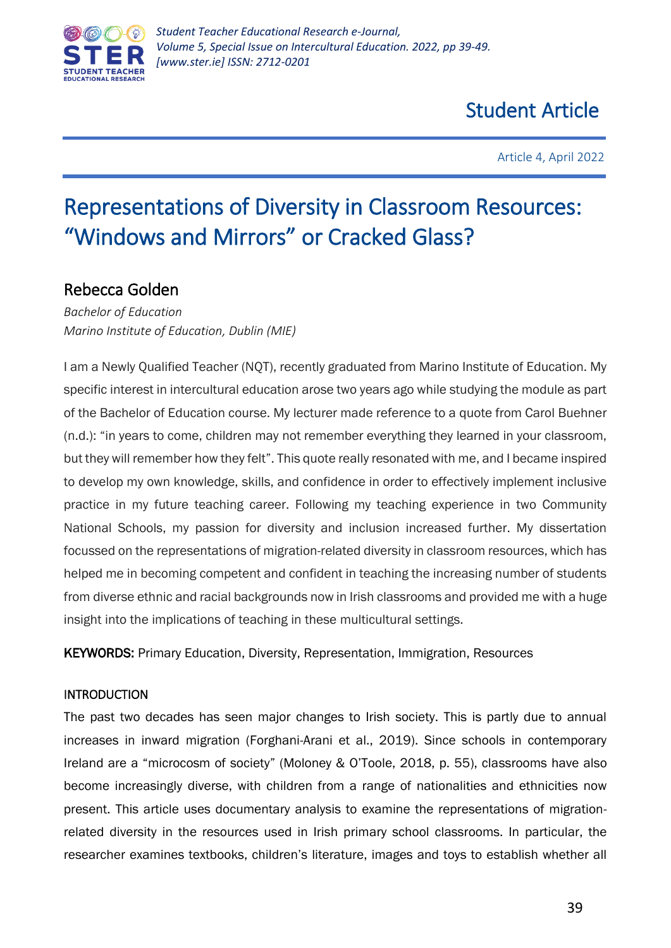

Article 4, April 2022

# Representations of Diversity in Classroom Resources: "Windows and Mirrors" or Cracked Glass?

# Rebecca Golden

*Bachelor of Education Marino Institute of Education, Dublin (MIE)*

I am a Newly Qualified Teacher (NQT), recently graduated from Marino Institute of Education. My specific interest in intercultural education arose two years ago while studying the module as part of the Bachelor of Education course. My lecturer made reference to a quote from Carol Buehner (n.d.): "in years to come, children may not remember everything they learned in your classroom, but they will remember how they felt". This quote really resonated with me, and I became inspired to develop my own knowledge, skills, and confidence in order to effectively implement inclusive practice in my future teaching career. Following my teaching experience in two Community National Schools, my passion for diversity and inclusion increased further. My dissertation focussed on the representations of migration-related diversity in classroom resources, which has helped me in becoming competent and confident in teaching the increasing number of students from diverse ethnic and racial backgrounds now in Irish classrooms and provided me with a huge insight into the implications of teaching in these multicultural settings.

KEYWORDS: Primary Education, Diversity, Representation, Immigration, Resources

# **INTRODUCTION**

The past two decades has seen major changes to Irish society. This is partly due to annual increases in inward migration (Forghani-Arani et al., 2019). Since schools in contemporary Ireland are a "microcosm of society" (Moloney & O'Toole, 2018, p. 55), classrooms have also become increasingly diverse, with children from a range of nationalities and ethnicities now present. This article uses documentary analysis to examine the representations of migrationrelated diversity in the resources used in Irish primary school classrooms. In particular, the researcher examines textbooks, children's literature, images and toys to establish whether all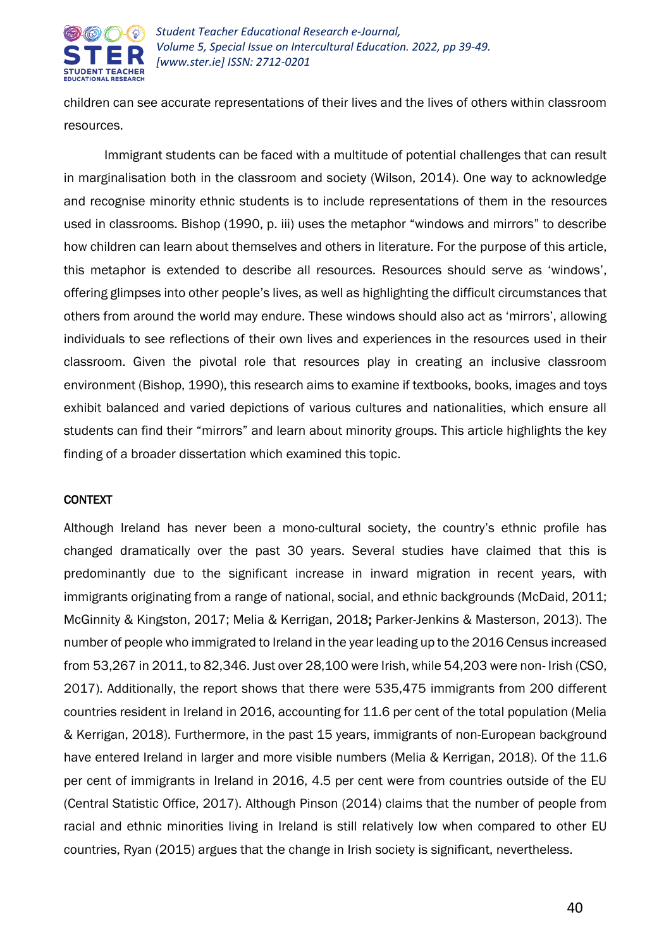

children can see accurate representations of their lives and the lives of others within classroom resources.

Immigrant students can be faced with a multitude of potential challenges that can result in marginalisation both in the classroom and society (Wilson, 2014). One way to acknowledge and recognise minority ethnic students is to include representations of them in the resources used in classrooms. Bishop (1990, p. iii) uses the metaphor "windows and mirrors" to describe how children can learn about themselves and others in literature. For the purpose of this article, this metaphor is extended to describe all resources. Resources should serve as 'windows', offering glimpses into other people's lives, as well as highlighting the difficult circumstances that others from around the world may endure. These windows should also act as 'mirrors', allowing individuals to see reflections of their own lives and experiences in the resources used in their classroom. Given the pivotal role that resources play in creating an inclusive classroom environment (Bishop, 1990), this research aims to examine if textbooks, books, images and toys exhibit balanced and varied depictions of various cultures and nationalities, which ensure all students can find their "mirrors" and learn about minority groups. This article highlights the key finding of a broader dissertation which examined this topic.

#### **CONTEXT**

Although Ireland has never been a mono-cultural society, the country's ethnic profile has changed dramatically over the past 30 years. Several studies have claimed that this is predominantly due to the significant increase in inward migration in recent years, with immigrants originating from a range of national, social, and ethnic backgrounds (McDaid, 2011; McGinnity & Kingston, 2017; Melia & Kerrigan, 2018; Parker-Jenkins & Masterson, 2013). The number of people who immigrated to Ireland in the year leading up to the 2016 Census increased from 53,267 in 2011, to 82,346. Just over 28,100 were Irish, while 54,203 were non- Irish (CSO, 2017). Additionally, the report shows that there were 535,475 immigrants from 200 different countries resident in Ireland in 2016, accounting for 11.6 per cent of the total population (Melia & Kerrigan, 2018). Furthermore, in the past 15 years, immigrants of non-European background have entered Ireland in larger and more visible numbers (Melia & Kerrigan, 2018). Of the 11.6 per cent of immigrants in Ireland in 2016, 4.5 per cent were from countries outside of the EU (Central Statistic Office, 2017). Although Pinson (2014) claims that the number of people from racial and ethnic minorities living in Ireland is still relatively low when compared to other EU countries, Ryan (2015) argues that the change in Irish society is significant, nevertheless.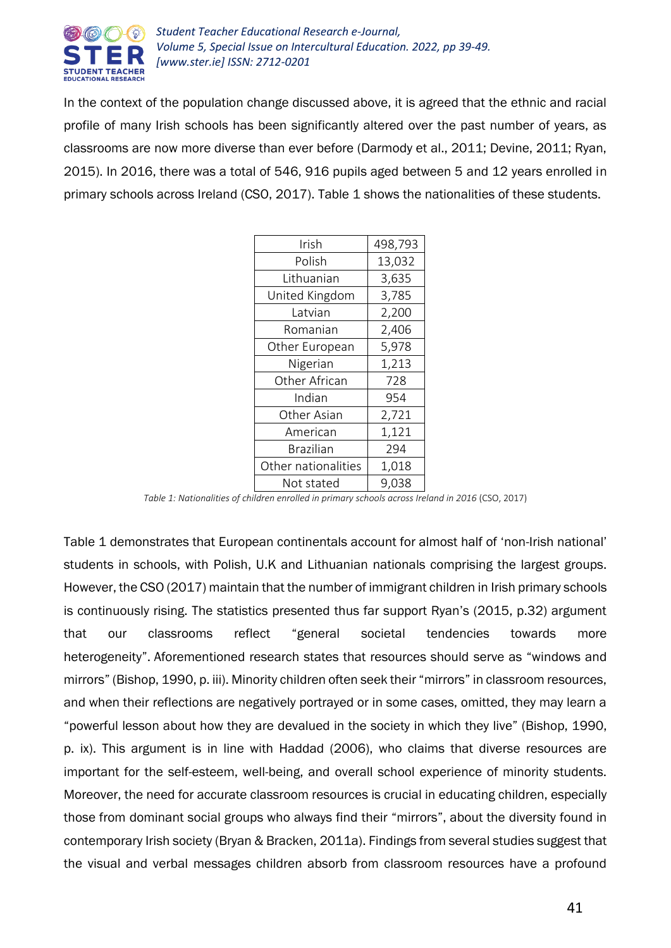

In the context of the population change discussed above, it is agreed that the ethnic and racial profile of many Irish schools has been significantly altered over the past number of years, as classrooms are now more diverse than ever before (Darmody et al., 2011; Devine, 2011; Ryan, 2015). In 2016, there was a total of 546, 916 pupils aged between 5 and 12 years enrolled in primary schools across Ireland (CSO, 2017). Table 1 shows the nationalities of these students.

| Irish               | 498,793 |
|---------------------|---------|
| Polish              | 13,032  |
| Lithuanian          | 3,635   |
| United Kingdom      | 3,785   |
| Latvian             | 2,200   |
| Romanian            | 2,406   |
| Other European      | 5,978   |
| Nigerian            | 1,213   |
| Other African       | 728     |
| Indian              | 954     |
| Other Asian         | 2,721   |
| American            | 1,121   |
| <b>Brazilian</b>    | 294     |
| Other nationalities | 1,018   |
| Not stated          | 9,038   |

Table 1: Nationalities of children enrolled in primary schools across Ireland in 2016 (CSO, 2017)

Table 1 demonstrates that European continentals account for almost half of 'non-Irish national' students in schools, with Polish, U.K and Lithuanian nationals comprising the largest groups. However, the CSO (2017) maintain that the number of immigrant children in Irish primary schools is continuously rising. The statistics presented thus far support Ryan's (2015, p.32) argument that our classrooms reflect "general societal tendencies towards more heterogeneity". Aforementioned research states that resources should serve as "windows and mirrors" (Bishop, 1990, p. iii). Minority children often seek their "mirrors" in classroom resources, and when their reflections are negatively portrayed or in some cases, omitted, they may learn a "powerful lesson about how they are devalued in the society in which they live" (Bishop, 1990, p. ix). This argument is in line with Haddad (2006), who claims that diverse resources are important for the self-esteem, well-being, and overall school experience of minority students. Moreover, the need for accurate classroom resources is crucial in educating children, especially those from dominant social groups who always find their "mirrors", about the diversity found in contemporary Irish society (Bryan & Bracken, 2011a). Findings from several studies suggest that the visual and verbal messages children absorb from classroom resources have a profound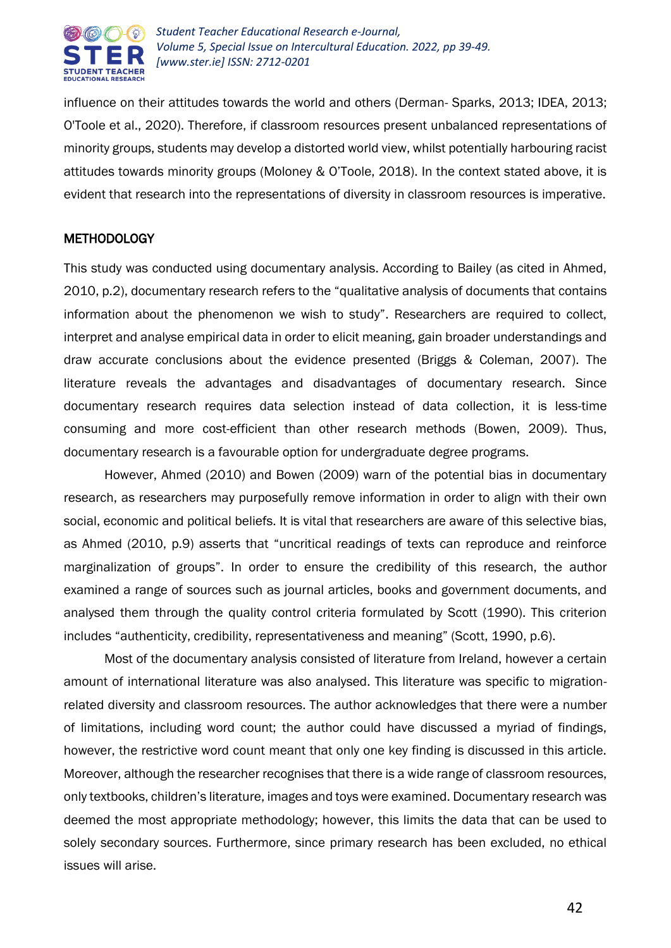

influence on their attitudes towards the world and others (Derman- Sparks, 2013; IDEA, 2013; O'Toole et al., 2020). Therefore, if classroom resources present unbalanced representations of minority groups, students may develop a distorted world view, whilst potentially harbouring racist attitudes towards minority groups (Moloney & O'Toole, 2018). In the context stated above, it is evident that research into the representations of diversity in classroom resources is imperative.

# **METHODOLOGY**

This study was conducted using documentary analysis. According to Bailey (as cited in Ahmed, 2010, p.2), documentary research refers to the "qualitative analysis of documents that contains information about the phenomenon we wish to study". Researchers are required to collect, interpret and analyse empirical data in order to elicit meaning, gain broader understandings and draw accurate conclusions about the evidence presented (Briggs & Coleman, 2007). The literature reveals the advantages and disadvantages of documentary research. Since documentary research requires data selection instead of data collection, it is less-time consuming and more cost-efficient than other research methods (Bowen, 2009). Thus, documentary research is a favourable option for undergraduate degree programs.

However, Ahmed (2010) and Bowen (2009) warn of the potential bias in documentary research, as researchers may purposefully remove information in order to align with their own social, economic and political beliefs. It is vital that researchers are aware of this selective bias, as Ahmed (2010, p.9) asserts that "uncritical readings of texts can reproduce and reinforce marginalization of groups". In order to ensure the credibility of this research, the author examined a range of sources such as journal articles, books and government documents, and analysed them through the quality control criteria formulated by Scott (1990). This criterion includes "authenticity, credibility, representativeness and meaning" (Scott, 1990, p.6).

Most of the documentary analysis consisted of literature from Ireland, however a certain amount of international literature was also analysed. This literature was specific to migrationrelated diversity and classroom resources. The author acknowledges that there were a number of limitations, including word count; the author could have discussed a myriad of findings, however, the restrictive word count meant that only one key finding is discussed in this article. Moreover, although the researcher recognises that there is a wide range of classroom resources, only textbooks, children's literature, images and toys were examined. Documentary research was deemed the most appropriate methodology; however, this limits the data that can be used to solely secondary sources. Furthermore, since primary research has been excluded, no ethical issues will arise.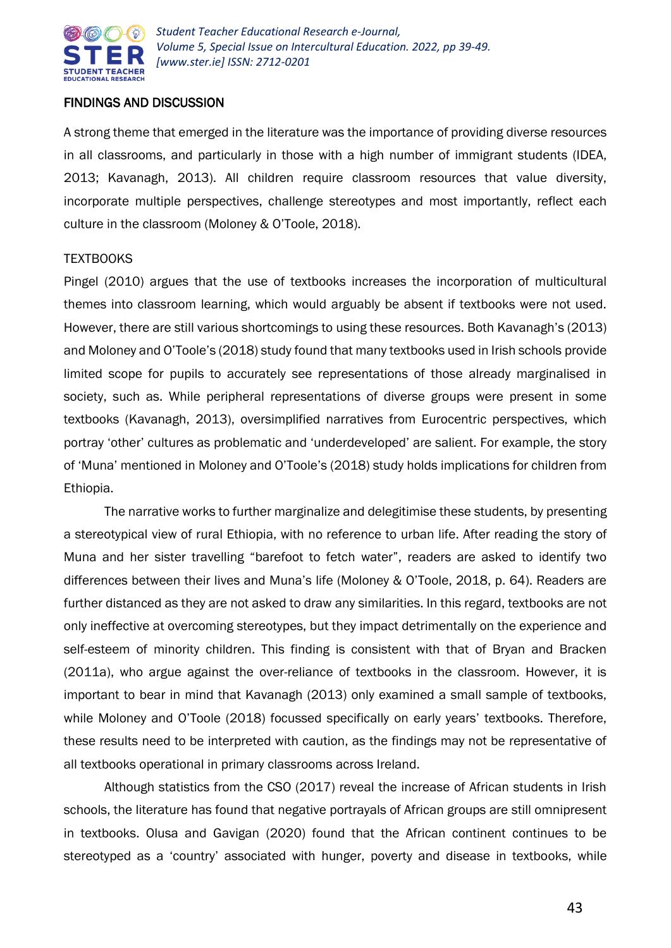

# FINDINGS AND DISCUSSION

A strong theme that emerged in the literature was the importance of providing diverse resources in all classrooms, and particularly in those with a high number of immigrant students (IDEA, 2013; Kavanagh, 2013). All children require classroom resources that value diversity, incorporate multiple perspectives, challenge stereotypes and most importantly, reflect each culture in the classroom (Moloney & O'Toole, 2018).

# TEXTBOOKS

Pingel (2010) argues that the use of textbooks increases the incorporation of multicultural themes into classroom learning, which would arguably be absent if textbooks were not used. However, there are still various shortcomings to using these resources. Both Kavanagh's (2013) and Moloney and O'Toole's (2018) study found that many textbooks used in Irish schools provide limited scope for pupils to accurately see representations of those already marginalised in society, such as. While peripheral representations of diverse groups were present in some textbooks (Kavanagh, 2013), oversimplified narratives from Eurocentric perspectives, which portray 'other' cultures as problematic and 'underdeveloped' are salient. For example, the story of 'Muna' mentioned in Moloney and O'Toole's (2018) study holds implications for children from Ethiopia.

The narrative works to further marginalize and delegitimise these students, by presenting a stereotypical view of rural Ethiopia, with no reference to urban life. After reading the story of Muna and her sister travelling "barefoot to fetch water", readers are asked to identify two differences between their lives and Muna's life (Moloney & O'Toole, 2018, p. 64). Readers are further distanced as they are not asked to draw any similarities. In this regard, textbooks are not only ineffective at overcoming stereotypes, but they impact detrimentally on the experience and self-esteem of minority children. This finding is consistent with that of Bryan and Bracken (2011a), who argue against the over-reliance of textbooks in the classroom. However, it is important to bear in mind that Kavanagh (2013) only examined a small sample of textbooks, while Moloney and O'Toole (2018) focussed specifically on early years' textbooks. Therefore, these results need to be interpreted with caution, as the findings may not be representative of all textbooks operational in primary classrooms across Ireland.

Although statistics from the CSO (2017) reveal the increase of African students in Irish schools, the literature has found that negative portrayals of African groups are still omnipresent in textbooks. Olusa and Gavigan (2020) found that the African continent continues to be stereotyped as a 'country' associated with hunger, poverty and disease in textbooks, while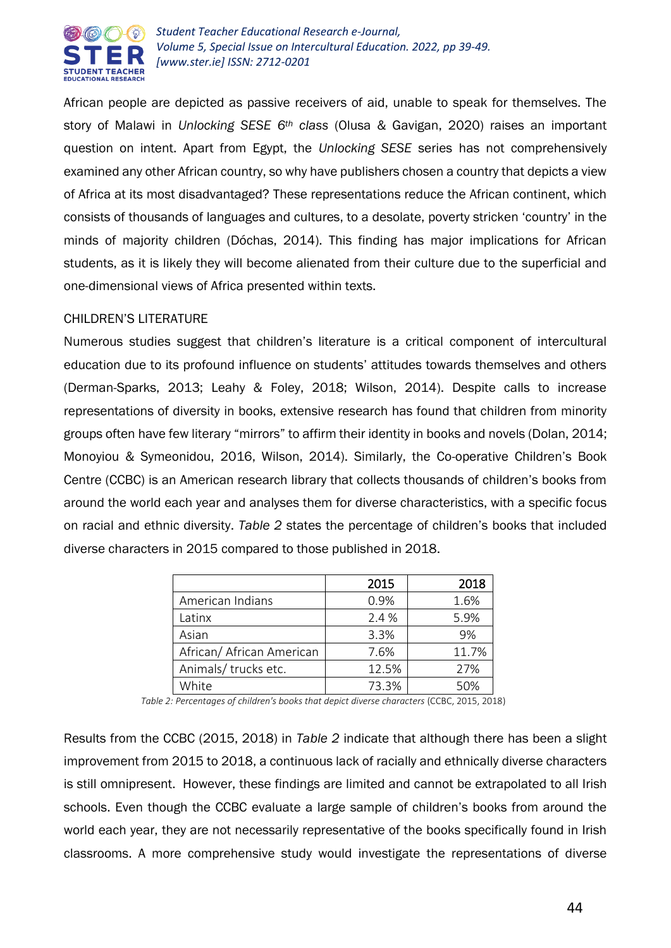

African people are depicted as passive receivers of aid, unable to speak for themselves. The story of Malawi in *Unlocking SESE 6th class* (Olusa & Gavigan, 2020) raises an important question on intent. Apart from Egypt, the *Unlocking SESE* series has not comprehensively examined any other African country, so why have publishers chosen a country that depicts a view of Africa at its most disadvantaged? These representations reduce the African continent, which consists of thousands of languages and cultures, to a desolate, poverty stricken 'country' in the minds of majority children (Dóchas, 2014). This finding has major implications for African students, as it is likely they will become alienated from their culture due to the superficial and one-dimensional views of Africa presented within texts.

# CHILDREN'S LITERATURE

Numerous studies suggest that children's literature is a critical component of intercultural education due to its profound influence on students' attitudes towards themselves and others (Derman-Sparks, 2013; Leahy & Foley, 2018; Wilson, 2014). Despite calls to increase representations of diversity in books, extensive research has found that children from minority groups often have few literary "mirrors" to affirm their identity in books and novels (Dolan, 2014; Monoyiou & Symeonidou, 2016, Wilson, 2014). Similarly, the Co-operative Children's Book Centre (CCBC) is an American research library that collects thousands of children's books from around the world each year and analyses them for diverse characteristics, with a specific focus on racial and ethnic diversity. *Table 2* states the percentage of children's books that included diverse characters in 2015 compared to those published in 2018.

|                           | 2015  | 2018  |
|---------------------------|-------|-------|
| American Indians          | 0.9%  | 1.6%  |
| Latinx                    | 2.4 % | 5.9%  |
| Asian                     | 3.3%  | 9%    |
| African/ African American | 7.6%  | 11.7% |
| Animals/ trucks etc.      | 12.5% | 27%   |
| White                     | 73.3% | 50%   |

*Table 2: Percentages of children's books that depict diverse characters* (CCBC, 2015, 2018)

Results from the CCBC (2015, 2018) in *Table 2* indicate that although there has been a slight improvement from 2015 to 2018, a continuous lack of racially and ethnically diverse characters is still omnipresent. However, these findings are limited and cannot be extrapolated to all Irish schools. Even though the CCBC evaluate a large sample of children's books from around the world each year, they are not necessarily representative of the books specifically found in Irish classrooms. A more comprehensive study would investigate the representations of diverse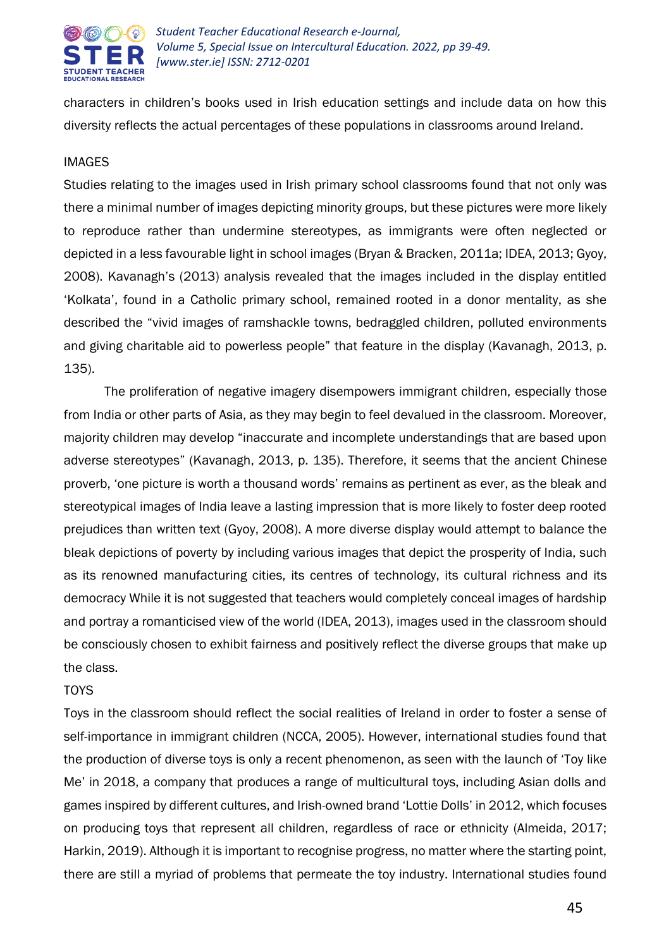

characters in children's books used in Irish education settings and include data on how this diversity reflects the actual percentages of these populations in classrooms around Ireland.

#### IMAGES

Studies relating to the images used in Irish primary school classrooms found that not only was there a minimal number of images depicting minority groups, but these pictures were more likely to reproduce rather than undermine stereotypes, as immigrants were often neglected or depicted in a less favourable light in school images (Bryan & Bracken, 2011a; IDEA, 2013; Gyoy, 2008). Kavanagh's (2013) analysis revealed that the images included in the display entitled 'Kolkata', found in a Catholic primary school, remained rooted in a donor mentality, as she described the "vivid images of ramshackle towns, bedraggled children, polluted environments and giving charitable aid to powerless people" that feature in the display (Kavanagh, 2013, p. 135).

The proliferation of negative imagery disempowers immigrant children, especially those from India or other parts of Asia, as they may begin to feel devalued in the classroom. Moreover, majority children may develop "inaccurate and incomplete understandings that are based upon adverse stereotypes" (Kavanagh, 2013, p. 135). Therefore, it seems that the ancient Chinese proverb, 'one picture is worth a thousand words' remains as pertinent as ever, as the bleak and stereotypical images of India leave a lasting impression that is more likely to foster deep rooted prejudices than written text (Gyoy, 2008). A more diverse display would attempt to balance the bleak depictions of poverty by including various images that depict the prosperity of India, such as its renowned manufacturing cities, its centres of technology, its cultural richness and its democracy While it is not suggested that teachers would completely conceal images of hardship and portray a romanticised view of the world (IDEA, 2013), images used in the classroom should be consciously chosen to exhibit fairness and positively reflect the diverse groups that make up the class.

#### **TOYS**

Toys in the classroom should reflect the social realities of Ireland in order to foster a sense of self-importance in immigrant children (NCCA, 2005). However, international studies found that the production of diverse toys is only a recent phenomenon, as seen with the launch of 'Toy like Me' in 2018, a company that produces a range of multicultural toys, including Asian dolls and games inspired by different cultures, and Irish-owned brand 'Lottie Dolls' in 2012, which focuses on producing toys that represent all children, regardless of race or ethnicity (Almeida, 2017; Harkin, 2019). Although it is important to recognise progress, no matter where the starting point, there are still a myriad of problems that permeate the toy industry. International studies found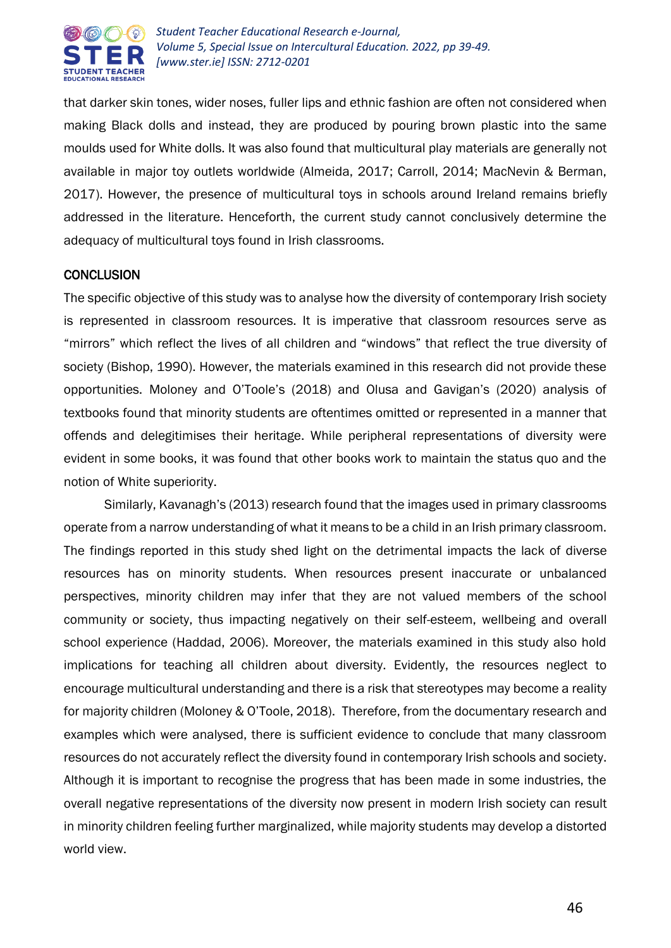

that darker skin tones, wider noses, fuller lips and ethnic fashion are often not considered when making Black dolls and instead, they are produced by pouring brown plastic into the same moulds used for White dolls. It was also found that multicultural play materials are generally not available in major toy outlets worldwide (Almeida, 2017; Carroll, 2014; MacNevin & Berman, 2017). However, the presence of multicultural toys in schools around Ireland remains briefly addressed in the literature. Henceforth, the current study cannot conclusively determine the adequacy of multicultural toys found in Irish classrooms.

#### **CONCLUSION**

The specific objective of this study was to analyse how the diversity of contemporary Irish society is represented in classroom resources. It is imperative that classroom resources serve as "mirrors" which reflect the lives of all children and "windows" that reflect the true diversity of society (Bishop, 1990). However, the materials examined in this research did not provide these opportunities. Moloney and O'Toole's (2018) and Olusa and Gavigan's (2020) analysis of textbooks found that minority students are oftentimes omitted or represented in a manner that offends and delegitimises their heritage. While peripheral representations of diversity were evident in some books, it was found that other books work to maintain the status quo and the notion of White superiority.

Similarly, Kavanagh's (2013) research found that the images used in primary classrooms operate from a narrow understanding of what it means to be a child in an Irish primary classroom. The findings reported in this study shed light on the detrimental impacts the lack of diverse resources has on minority students. When resources present inaccurate or unbalanced perspectives, minority children may infer that they are not valued members of the school community or society, thus impacting negatively on their self-esteem, wellbeing and overall school experience (Haddad, 2006). Moreover, the materials examined in this study also hold implications for teaching all children about diversity. Evidently, the resources neglect to encourage multicultural understanding and there is a risk that stereotypes may become a reality for majority children (Moloney & O'Toole, 2018). Therefore, from the documentary research and examples which were analysed, there is sufficient evidence to conclude that many classroom resources do not accurately reflect the diversity found in contemporary Irish schools and society. Although it is important to recognise the progress that has been made in some industries, the overall negative representations of the diversity now present in modern Irish society can result in minority children feeling further marginalized, while majority students may develop a distorted world view.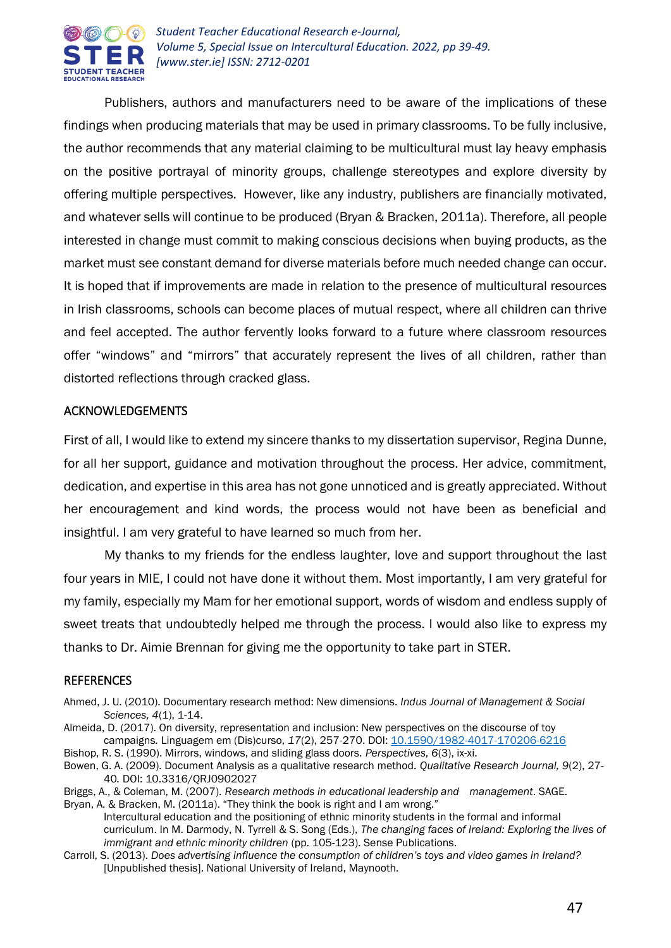

Publishers, authors and manufacturers need to be aware of the implications of these findings when producing materials that may be used in primary classrooms. To be fully inclusive, the author recommends that any material claiming to be multicultural must lay heavy emphasis on the positive portrayal of minority groups, challenge stereotypes and explore diversity by offering multiple perspectives. However, like any industry, publishers are financially motivated, and whatever sells will continue to be produced (Bryan & Bracken, 2011a). Therefore, all people interested in change must commit to making conscious decisions when buying products, as the market must see constant demand for diverse materials before much needed change can occur. It is hoped that if improvements are made in relation to the presence of multicultural resources in Irish classrooms, schools can become places of mutual respect, where all children can thrive and feel accepted. The author fervently looks forward to a future where classroom resources offer "windows" and "mirrors" that accurately represent the lives of all children, rather than distorted reflections through cracked glass.

#### ACKNOWLEDGEMENTS

First of all, I would like to extend my sincere thanks to my dissertation supervisor, Regina Dunne, for all her support, guidance and motivation throughout the process. Her advice, commitment, dedication, and expertise in this area has not gone unnoticed and is greatly appreciated. Without her encouragement and kind words, the process would not have been as beneficial and insightful. I am very grateful to have learned so much from her.

 My thanks to my friends for the endless laughter, love and support throughout the last four years in MIE, I could not have done it without them. Most importantly, I am very grateful for my family, especially my Mam for her emotional support, words of wisdom and endless supply of sweet treats that undoubtedly helped me through the process. I would also like to express my thanks to Dr. Aimie Brennan for giving me the opportunity to take part in STER.

# **REFERENCES**

- Ahmed, J. U. (2010). Documentary research method: New dimensions. *Indus Journal of Management & Social Sciences, 4*(1), 1-14.
- Almeida, D. (2017). On diversity, representation and inclusion: New perspectives on the discourse of toy campaigns*.* Linguagem em (Dis)curso, *17*(2), 257-270. DOI: [10.1590/1982-4017-170206-6216](https://www.researchgate.net/deref/http%3A%2F%2Fdx.doi.org%2F10.1590%2F1982-4017-170206-6216?_sg%5B0%5D=c2U7Jfxgz9yjfw0VEnSN7g0cDG2I3ULGxfLf5NR6BNvMN1FGiK2VJin1jQM_CG3IrnDrZVFsdtLJSeYN3xBFf1SYDA.3reSR3Ou0lwGZHJ05jqrpfIFFRmtyxh1SrTaqTfZw5RXQu0Uzx1v2i4EusoNLzRU8QYSWrcVy3P5nKInY8Fm5A)
- Bishop, R. S. (1990). Mirrors, windows, and sliding glass doors. *Perspectives, 6*(3), ix-xi.
- Bowen, G. A. (2009). Document Analysis as a qualitative research method. *Qualitative Research Journal, 9*(2), 27- 40*.* DOI: 10.3316/QRJ0902027
- Briggs, A., & Coleman, M. (2007). *Research methods in educational leadership and management*. SAGE. Bryan, A. & Bracken, M. (2011a). "They think the book is right and I am wrong."
	- Intercultural education and the positioning of ethnic minority students in the formal and informal curriculum. In M. Darmody, N. Tyrrell & S. Song (Eds.), *The changing faces of Ireland: Exploring the lives of immigrant and ethnic minority children* (pp. 105-123). Sense Publications.
- Carroll, S. (2013). *Does advertising influence the consumption of children's toys and video games in Ireland?* [Unpublished thesis]. National University of Ireland, Maynooth.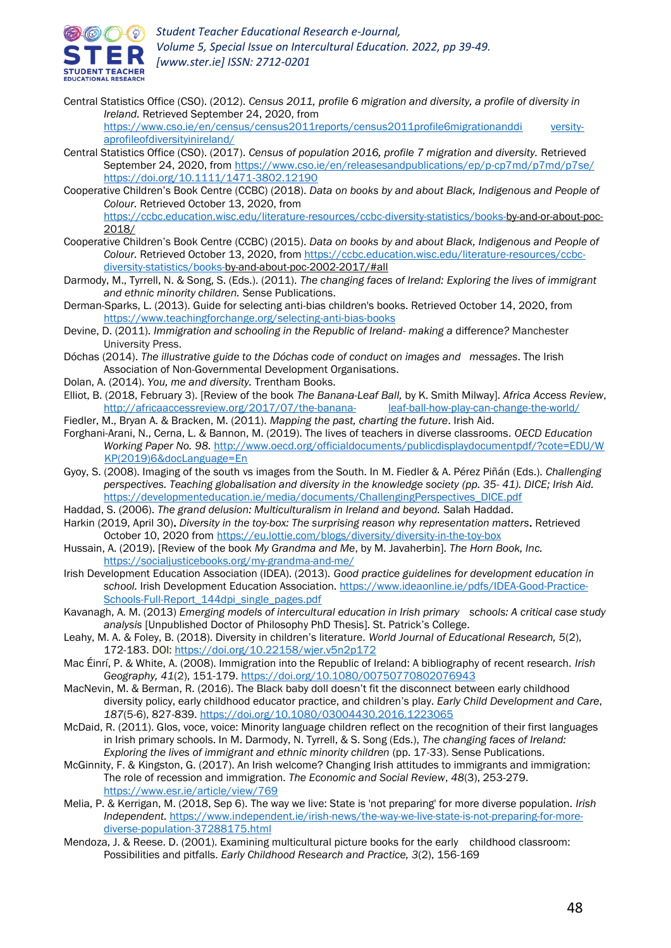

Central Statistics Office (CSO). (2012). *Census 2011, profile 6 migration and diversity, a profile of diversity in Ireland.* Retrieved September 24, 2020, from

[https://www.cso.ie/en/census/census2011reports/census2011profile6migrationanddi](https://www.cso.ie/en/census/census2011reports/census2011profile6migrationanddi%09versity-aprofileofdiversityinireland/) versity[aprofileofdiversityinireland/](https://www.cso.ie/en/census/census2011reports/census2011profile6migrationanddi%09versity-aprofileofdiversityinireland/)

- Central Statistics Office (CSO). (2017). *Census of population 2016, profile 7 migration and diversity.* Retrieved September 24, 2020, from <https://www.cso.ie/en/releasesandpublications/ep/p-cp7md/p7md/p7se/> <https://doi.org/10.1111/1471-3802.12190>
- Cooperative Children's Book Centre (CCBC) (2018). *Data on books by and about Black, Indigenous and People of Colour.* Retrieved October 13, 2020, from

[https://ccbc.education.wisc.edu/literature-resources/ccbc-diversity-statistics/books-b](https://ccbc.education.wisc.edu/literature-resources/ccbc-diversity-statistics/books-)y-and-or-about-poc-2018/

- Cooperative Children's Book Centre (CCBC) (2015). *Data on books by and about Black, Indigenous and People of*  Colour. Retrieved October 13, 2020, from [https://ccbc.education.wisc.edu/literature-resources/ccbc](https://ccbc.education.wisc.edu/literature-resources/ccbc-diversity-statistics/books-)[diversity-statistics/books-b](https://ccbc.education.wisc.edu/literature-resources/ccbc-diversity-statistics/books-)y-and-about-poc-2002-2017/#all
- Darmody, M., Tyrrell, N. & Song, S. (Eds.). (2011). *The changing faces of Ireland: Exploring the lives of immigrant and ethnic minority children.* Sense Publications.
- Derman-Sparks, L. (2013). Guide for selecting anti-bias children's books. Retrieved October 14, 2020, from <https://www.teachingforchange.org/selecting-anti-bias-books>
- Devine, D. (2011). *Immigration and schooling in the Republic of Ireland- making a* difference*?* Manchester University Press.
- Dóchas (2014). *The illustrative guide to the Dóchas code of conduct on images and messages*. The Irish Association of Non-Governmental Development Organisations.
- Dolan, A. (2014). *You, me and diversity.* Trentham Books.
- Elliot, B. (2018, February 3). [Review of the book *The Banana-Leaf Ball,* by K. Smith Milway]. *Africa Access Review*, [http://africaaccessreview.org/2017/07/the-banana-](http://africaaccessreview.org/2017/07/the-banana-%09leaf-ball-how-play-can-change-the-world/) leaf-ball-how-play-can-change-the-world/
- Fiedler, M., Bryan A. & Bracken, M. (2011). *Mapping the past, charting the future*. Irish Aid.
- Forghani-Arani, N., Cerna, L. & Bannon, M. (2019). The lives of teachers in diverse classrooms. *OECD Education Working Paper No. 98.* [http://www.oecd.org/officialdocuments/publicdisplaydocumentpdf/?cote=EDU/W](http://www.oecd.org/officialdocuments/publicdisplaydocumentpdf/?cote=EDU/W%09KP(2019)6&docLanguage=En) [KP\(2019\)6&docLanguage=En](http://www.oecd.org/officialdocuments/publicdisplaydocumentpdf/?cote=EDU/W%09KP(2019)6&docLanguage=En)
- Gyoy, S. (2008). Imaging of the south vs images from the South. In M. Fiedler & A. Pérez Piñán (Eds.). *Challenging perspectives. Teaching globalisation and diversity in the knowledge society (pp. 35- 41). DICE; Irish Aid.* [https://developmenteducation.ie/media/documents/ChallengingPerspectives\\_DICE.pdf](https://developmenteducation.ie/media/documents/ChallengingPerspectives_DICE.pdf)
- Haddad, S. (2006). *The grand delusion: Multiculturalism in Ireland and beyond.* Salah Haddad.
- Harkin (2019, April 30). *Diversity in the toy-box: The surprising reason why representation matters*. Retrieved October 10, 2020 from <https://eu.lottie.com/blogs/diversity/diversity-in-the-toy-box>
- Hussain, A. (2019). [Review of the book *My Grandma and Me*, by M. Javaherbin]. *The Horn Book, Inc.*  <https://socialjusticebooks.org/my-grandma-and-me/>
- Irish Development Education Association (IDEA). (2013). *Good practice guidelines for development education in*  school. Irish Development Education Association. [https://www.ideaonline.ie/pdfs/IDEA-Good-Practice-](https://www.ideaonline.ie/pdfs/IDEA-Good-Practice-Schools-Full-Report_144dpi_single_pages.pdf)[Schools-Full-Report\\_144dpi\\_single\\_pages.pdf](https://www.ideaonline.ie/pdfs/IDEA-Good-Practice-Schools-Full-Report_144dpi_single_pages.pdf)
- Kavanagh, A. M. (2013) *Emerging models of intercultural education in Irish primary schools: A critical case study analysis* [Unpublished Doctor of Philosophy PhD Thesis]. St. Patrick's College.
- Leahy, M. A. & Foley, B. (2018). Diversity in children's literature. *World Journal of Educational Research, 5*(2), 172-183. DOI: <https://doi.org/10.22158/wjer.v5n2p172>
- Mac Éinrí, P. & White, A. (2008). Immigration into the Republic of Ireland: A bibliography of recent research. *Irish Geography, 41*(2), 151-179. <https://doi.org/10.1080/00750770802076943>
- MacNevin, M. & Berman, R. (2016). The Black baby doll doesn't fit the disconnect between early childhood diversity policy, early childhood educator practice, and children's play. *Early Child Development and Care*, *187*(5-6), 827-839. <https://doi.org/10.1080/03004430.2016.1223065>
- McDaid, R. (2011). Glos, voce, voice: Minority language children reflect on the recognition of their first languages in Irish primary schools. In M. Darmody, N. Tyrrell, & S. Song (Eds.), *The changing faces of Ireland: Exploring the lives of immigrant and ethnic minority children* (pp. 17-33). Sense Publications.
- McGinnity, F. & Kingston, G. (2017). An Irish welcome? Changing Irish attitudes to immigrants and immigration: The role of recession and immigration. *The Economic and Social Review*, *48*(3), 253-279. <https://www.esr.ie/article/view/769>
- Melia, P. & Kerrigan, M. (2018, Sep 6). The way we live: State is 'not preparing' for more diverse population. *Irish Independent.* [https://www.independent.ie/irish-news/the-way-we-live-state-is-not-preparing-for-more](https://www.independent.ie/irish-news/the-way-we-live-state-is-not-preparing-for-more-diverse-population-37288175.html)[diverse-population-37288175.html](https://www.independent.ie/irish-news/the-way-we-live-state-is-not-preparing-for-more-diverse-population-37288175.html)
- Mendoza, J. & Reese. D. (2001). Examining multicultural picture books for the early childhood classroom: Possibilities and pitfalls. *Early Childhood Research and Practice, 3*(2), 156-169